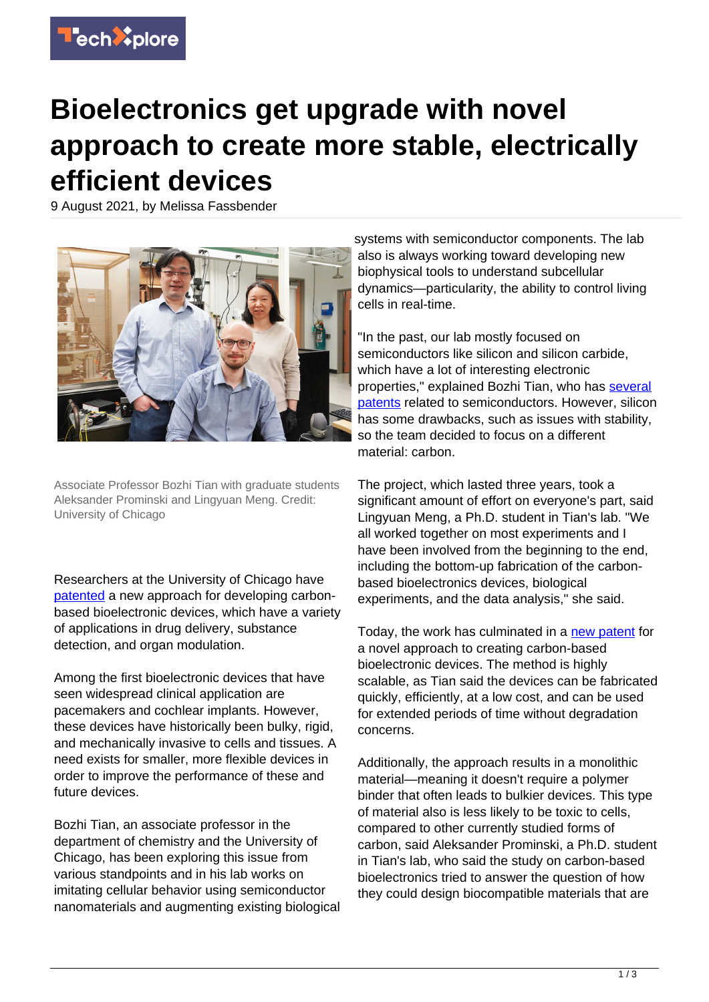

## **Bioelectronics get upgrade with novel approach to create more stable, electrically efficient devices**

9 August 2021, by Melissa Fassbender



Associate Professor Bozhi Tian with graduate students Aleksander Prominski and Lingyuan Meng. Credit: University of Chicago

Researchers at the University of Chicago have [patented](https://uchicago.technologypublisher.com/technology/43155) a new approach for developing carbonbased bioelectronic devices, which have a variety of applications in drug delivery, substance detection, and organ modulation.

Among the first bioelectronic devices that have seen widespread clinical application are pacemakers and cochlear implants. However, these devices have historically been bulky, rigid, and mechanically invasive to cells and tissues. A need exists for smaller, more flexible devices in order to improve the performance of these and future devices.

Bozhi Tian, an associate professor in the department of chemistry and the University of Chicago, has been exploring this issue from various standpoints and in his lab works on imitating cellular behavior using semiconductor nanomaterials and augmenting existing biological systems with semiconductor components. The lab also is always working toward developing new biophysical tools to understand subcellular dynamics—particularity, the ability to control living cells in real-time.

"In the past, our lab mostly focused on semiconductors like silicon and silicon carbide, which have a lot of interesting electronic properties," explained Bozhi Tian, who has [several](https://uchicago.technologypublisher.com/bio.aspx?id=51492) [patents](https://uchicago.technologypublisher.com/bio.aspx?id=51492) related to semiconductors. However, silicon has some drawbacks, such as issues with stability, so the team decided to focus on a different material: carbon.

The project, which lasted three years, took a significant amount of effort on everyone's part, said Lingyuan Meng, a Ph.D. student in Tian's lab. "We all worked together on most experiments and I have been involved from the beginning to the end, including the bottom-up fabrication of the carbonbased bioelectronics devices, biological experiments, and the data analysis," she said.

Today, the work has culminated in a [new patent](https://uchicago.technologypublisher.com/technology/43155) for a novel approach to creating carbon-based bioelectronic devices. The method is highly scalable, as Tian said the devices can be fabricated quickly, efficiently, at a low cost, and can be used for extended periods of time without degradation concerns.

Additionally, the approach results in a monolithic material—meaning it doesn't require a polymer binder that often leads to bulkier devices. This type of material also is less likely to be toxic to cells, compared to other currently studied forms of carbon, said Aleksander Prominski, a Ph.D. student in Tian's lab, who said the study on carbon-based bioelectronics tried to answer the question of how they could design biocompatible materials that are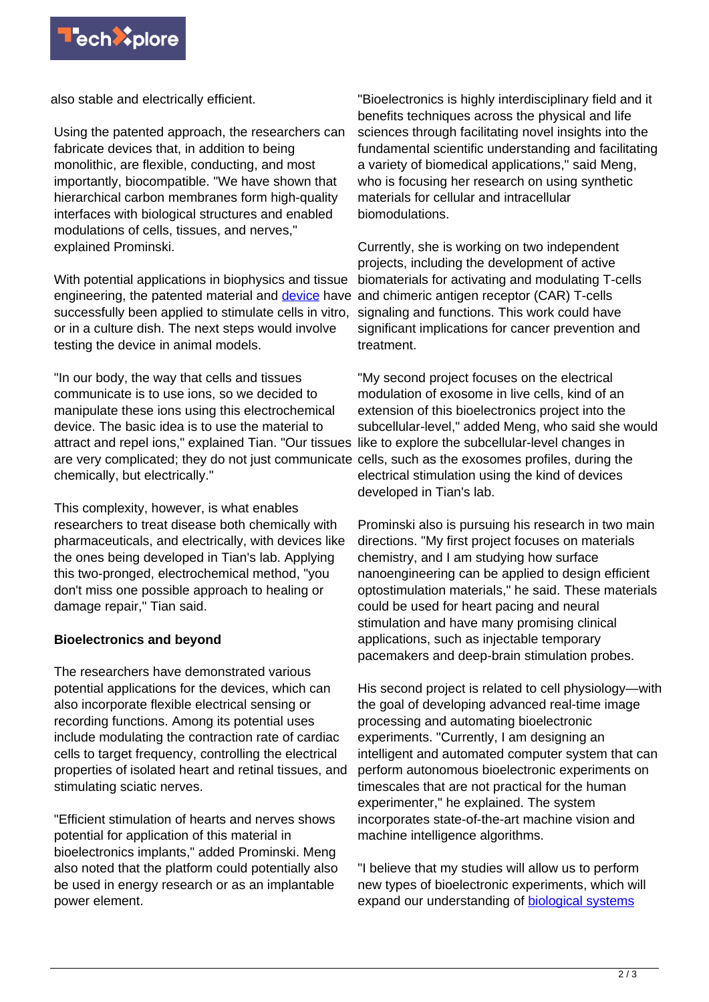

also stable and electrically efficient.

Using the patented approach, the researchers can fabricate devices that, in addition to being monolithic, are flexible, conducting, and most importantly, biocompatible. "We have shown that hierarchical carbon membranes form high-quality interfaces with biological structures and enabled modulations of cells, tissues, and nerves," explained Prominski.

With potential applications in biophysics and tissue engineering, the patented material and *device* have and chimeric antigen receptor (CAR) T-cells successfully been applied to stimulate cells in vitro, or in a culture dish. The next steps would involve testing the device in animal models.

"In our body, the way that cells and tissues communicate is to use ions, so we decided to manipulate these ions using this electrochemical device. The basic idea is to use the material to attract and repel ions," explained Tian. "Our tissues like to explore the subcellular-level changes in are very complicated; they do not just communicate cells, such as the exosomes profiles, during the chemically, but electrically."

This complexity, however, is what enables researchers to treat disease both chemically with pharmaceuticals, and electrically, with devices like the ones being developed in Tian's lab. Applying this two-pronged, electrochemical method, "you don't miss one possible approach to healing or damage repair," Tian said.

## **Bioelectronics and beyond**

The researchers have demonstrated various potential applications for the devices, which can also incorporate flexible electrical sensing or recording functions. Among its potential uses include modulating the contraction rate of cardiac cells to target frequency, controlling the electrical properties of isolated heart and retinal tissues, and stimulating sciatic nerves.

"Efficient stimulation of hearts and nerves shows potential for application of this material in bioelectronics implants," added Prominski. Meng also noted that the platform could potentially also be used in energy research or as an implantable power element.

"Bioelectronics is highly interdisciplinary field and it benefits techniques across the physical and life sciences through facilitating novel insights into the fundamental scientific understanding and facilitating a variety of biomedical applications," said Meng, who is focusing her research on using synthetic materials for cellular and intracellular biomodulations.

Currently, she is working on two independent projects, including the development of active biomaterials for activating and modulating T-cells signaling and functions. This work could have significant implications for cancer prevention and treatment.

"My second project focuses on the electrical modulation of exosome in live cells, kind of an extension of this bioelectronics project into the subcellular-level," added Meng, who said she would electrical stimulation using the kind of devices developed in Tian's lab.

Prominski also is pursuing his research in two main directions. "My first project focuses on materials chemistry, and I am studying how surface nanoengineering can be applied to design efficient optostimulation materials," he said. These materials could be used for heart pacing and neural stimulation and have many promising clinical applications, such as injectable temporary pacemakers and deep-brain stimulation probes.

His second project is related to cell physiology—with the goal of developing advanced real-time image processing and automating bioelectronic experiments. "Currently, I am designing an intelligent and automated computer system that can perform autonomous bioelectronic experiments on timescales that are not practical for the human experimenter," he explained. The system incorporates state-of-the-art machine vision and machine intelligence algorithms.

"I believe that my studies will allow us to perform new types of bioelectronic experiments, which will expand our understanding of [biological systems](https://techxplore.com/tags/biological+systems/)